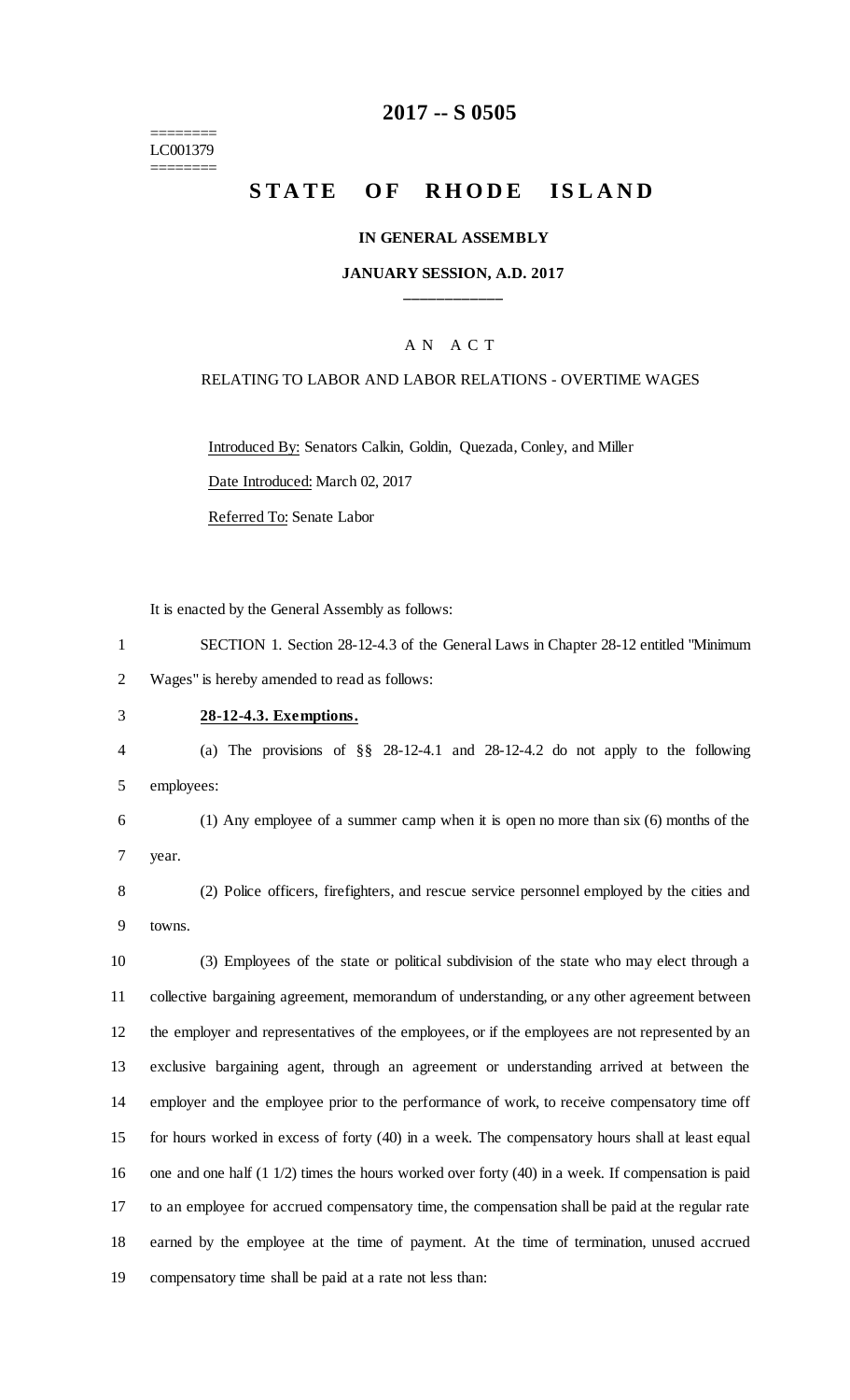======== LC001379 ========

## **-- S 0505**

# **STATE OF RHODE ISLAND**

#### **IN GENERAL ASSEMBLY**

### **JANUARY SESSION, A.D. 2017 \_\_\_\_\_\_\_\_\_\_\_\_**

### A N A C T

#### RELATING TO LABOR AND LABOR RELATIONS - OVERTIME WAGES

Introduced By: Senators Calkin, Goldin, Quezada, Conley, and Miller

Date Introduced: March 02, 2017

Referred To: Senate Labor

It is enacted by the General Assembly as follows:

 SECTION 1. Section 28-12-4.3 of the General Laws in Chapter 28-12 entitled "Minimum Wages" is hereby amended to read as follows:

### **28-12-4.3. Exemptions.**

 (a) The provisions of §§ 28-12-4.1 and 28-12-4.2 do not apply to the following employees:

 (1) Any employee of a summer camp when it is open no more than six (6) months of the year.

 (2) Police officers, firefighters, and rescue service personnel employed by the cities and towns.

 (3) Employees of the state or political subdivision of the state who may elect through a collective bargaining agreement, memorandum of understanding, or any other agreement between the employer and representatives of the employees, or if the employees are not represented by an exclusive bargaining agent, through an agreement or understanding arrived at between the employer and the employee prior to the performance of work, to receive compensatory time off for hours worked in excess of forty (40) in a week. The compensatory hours shall at least equal one and one half (1 1/2) times the hours worked over forty (40) in a week. If compensation is paid to an employee for accrued compensatory time, the compensation shall be paid at the regular rate earned by the employee at the time of payment. At the time of termination, unused accrued compensatory time shall be paid at a rate not less than: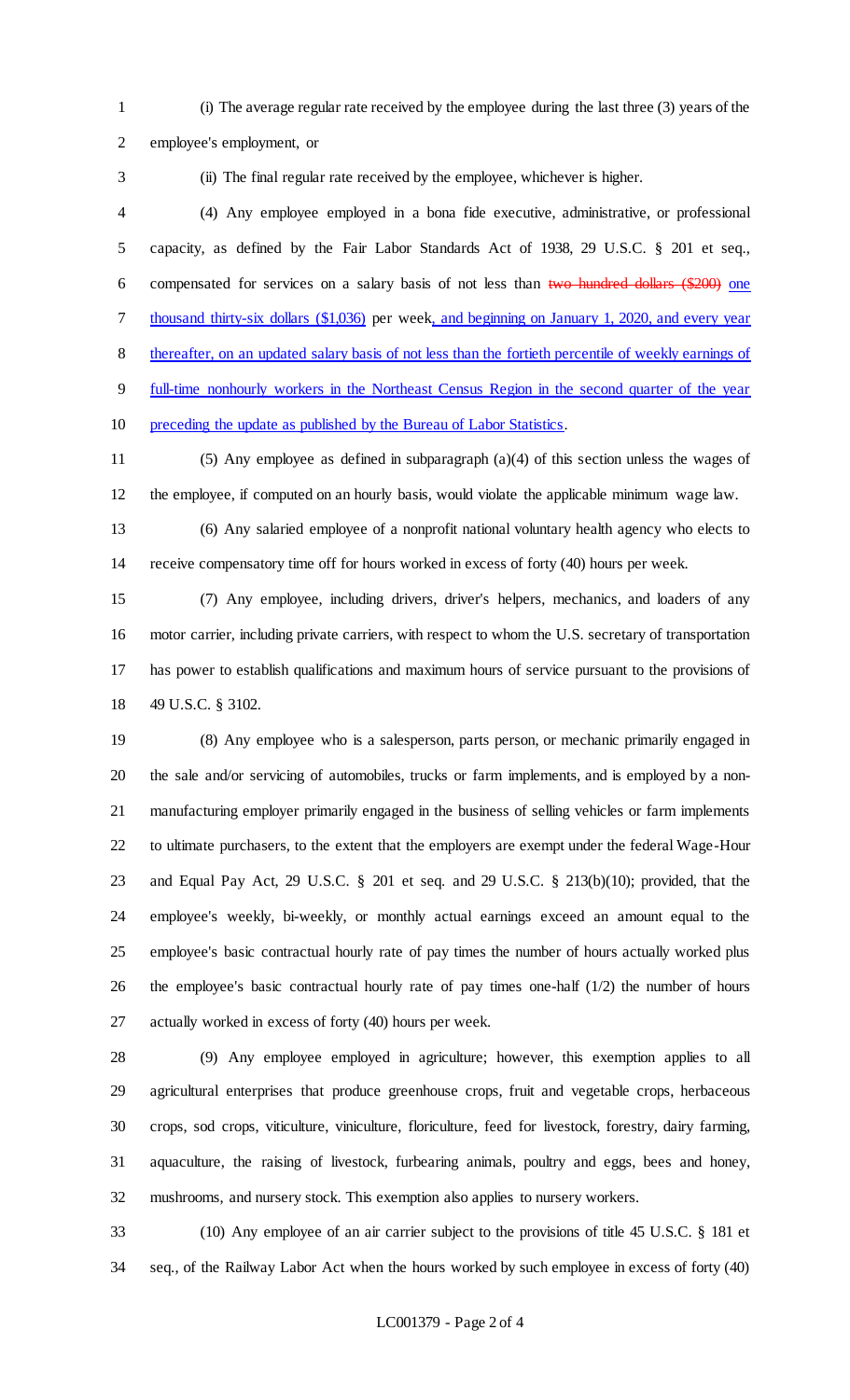(i) The average regular rate received by the employee during the last three (3) years of the employee's employment, or

(ii) The final regular rate received by the employee, whichever is higher.

 (4) Any employee employed in a bona fide executive, administrative, or professional capacity, as defined by the Fair Labor Standards Act of 1938, 29 U.S.C. § 201 et seq., compensated for services on a salary basis of not less than two hundred dollars (\$200) one thousand thirty-six dollars (\$1,036) per week, and beginning on January 1, 2020, and every year thereafter, on an updated salary basis of not less than the fortieth percentile of weekly earnings of full-time nonhourly workers in the Northeast Census Region in the second quarter of the year preceding the update as published by the Bureau of Labor Statistics.

 (5) Any employee as defined in subparagraph (a)(4) of this section unless the wages of the employee, if computed on an hourly basis, would violate the applicable minimum wage law.

 (6) Any salaried employee of a nonprofit national voluntary health agency who elects to receive compensatory time off for hours worked in excess of forty (40) hours per week.

 (7) Any employee, including drivers, driver's helpers, mechanics, and loaders of any motor carrier, including private carriers, with respect to whom the U.S. secretary of transportation has power to establish qualifications and maximum hours of service pursuant to the provisions of 49 U.S.C. § 3102.

 (8) Any employee who is a salesperson, parts person, or mechanic primarily engaged in the sale and/or servicing of automobiles, trucks or farm implements, and is employed by a non- manufacturing employer primarily engaged in the business of selling vehicles or farm implements to ultimate purchasers, to the extent that the employers are exempt under the federal Wage-Hour and Equal Pay Act, 29 U.S.C. § 201 et seq. and 29 U.S.C. § 213(b)(10); provided, that the employee's weekly, bi-weekly, or monthly actual earnings exceed an amount equal to the employee's basic contractual hourly rate of pay times the number of hours actually worked plus the employee's basic contractual hourly rate of pay times one-half (1/2) the number of hours actually worked in excess of forty (40) hours per week.

 (9) Any employee employed in agriculture; however, this exemption applies to all agricultural enterprises that produce greenhouse crops, fruit and vegetable crops, herbaceous crops, sod crops, viticulture, viniculture, floriculture, feed for livestock, forestry, dairy farming, aquaculture, the raising of livestock, furbearing animals, poultry and eggs, bees and honey, mushrooms, and nursery stock. This exemption also applies to nursery workers.

 (10) Any employee of an air carrier subject to the provisions of title 45 U.S.C. § 181 et seq., of the Railway Labor Act when the hours worked by such employee in excess of forty (40)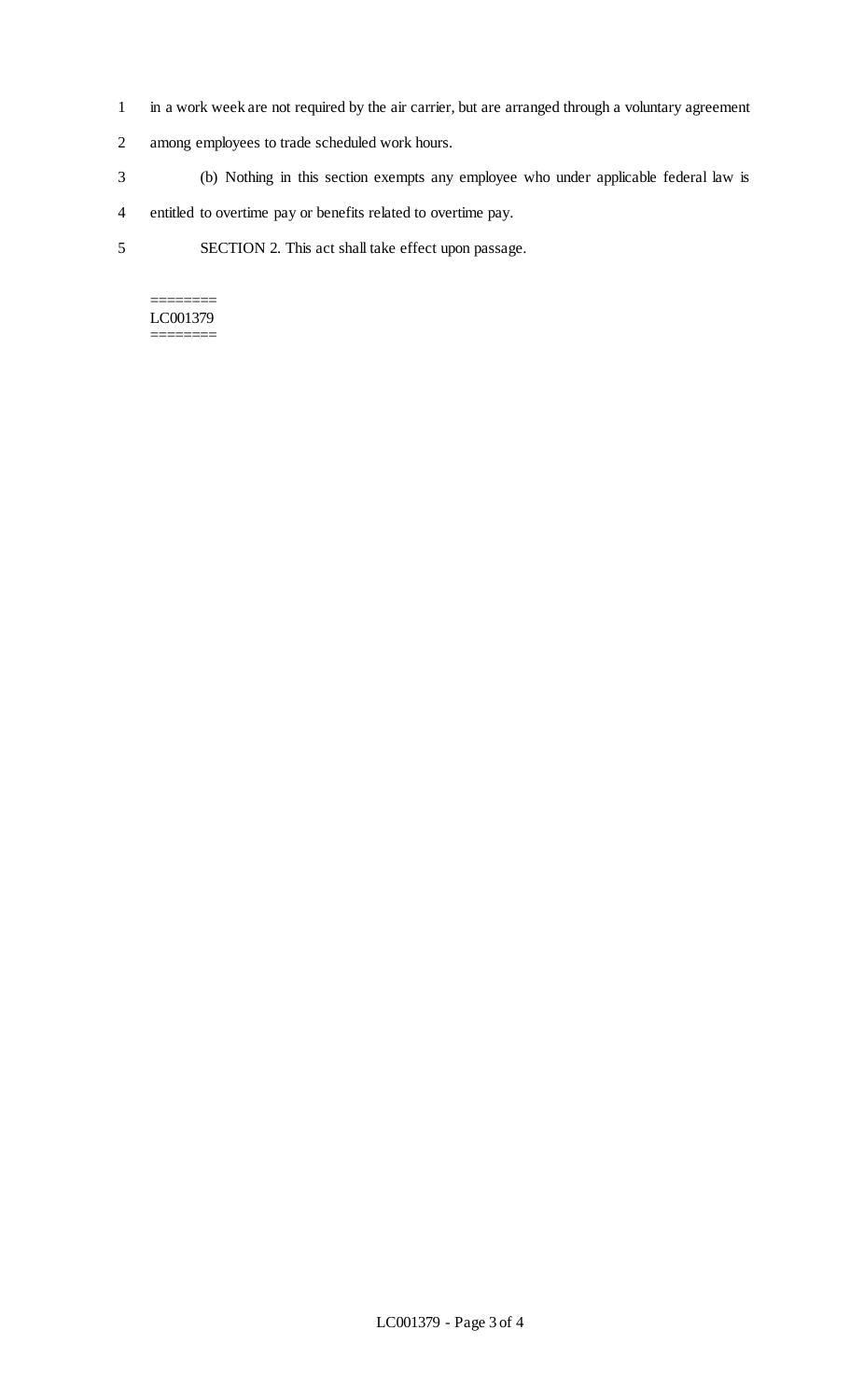- 1 in a work week are not required by the air carrier, but are arranged through a voluntary agreement
- 2 among employees to trade scheduled work hours.
- 3 (b) Nothing in this section exempts any employee who under applicable federal law is
- 4 entitled to overtime pay or benefits related to overtime pay.
- 5 SECTION 2. This act shall take effect upon passage.

======== LC001379 ========